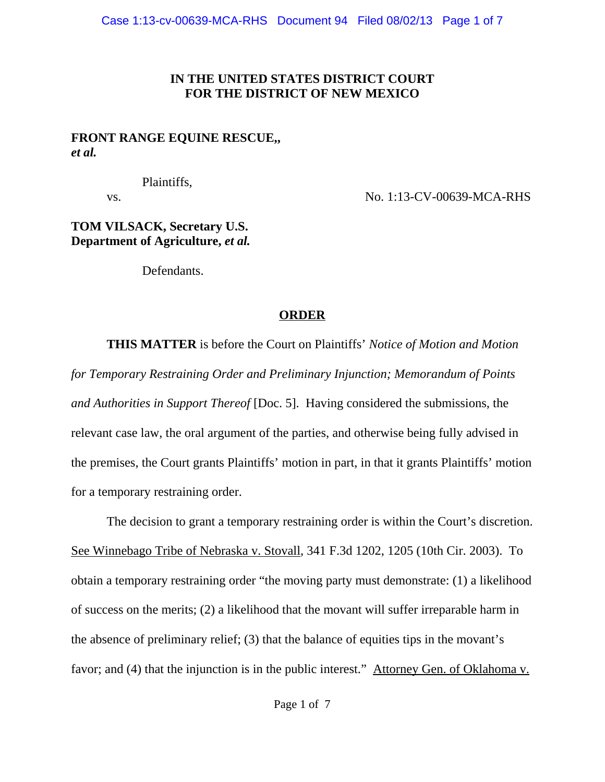## **IN THE UNITED STATES DISTRICT COURT FOR THE DISTRICT OF NEW MEXICO**

## **FRONT RANGE EQUINE RESCUE,,** *et al.*

Plaintiffs,

vs. No. 1:13-CV-00639-MCA-RHS

## **TOM VILSACK, Secretary U.S. Department of Agriculture,** *et al.*

Defendants.

# **ORDER**

**THIS MATTER** is before the Court on Plaintiffs' *Notice of Motion and Motion for Temporary Restraining Order and Preliminary Injunction; Memorandum of Points and Authorities in Support Thereof* [Doc. 5]. Having considered the submissions, the relevant case law, the oral argument of the parties, and otherwise being fully advised in the premises, the Court grants Plaintiffs' motion in part, in that it grants Plaintiffs' motion for a temporary restraining order.

The decision to grant a temporary restraining order is within the Court's discretion. See Winnebago Tribe of Nebraska v. Stovall, 341 F.3d 1202, 1205 (10th Cir. 2003). To obtain a temporary restraining order "the moving party must demonstrate: (1) a likelihood of success on the merits; (2) a likelihood that the movant will suffer irreparable harm in the absence of preliminary relief; (3) that the balance of equities tips in the movant's favor; and (4) that the injunction is in the public interest." Attorney Gen. of Oklahoma v.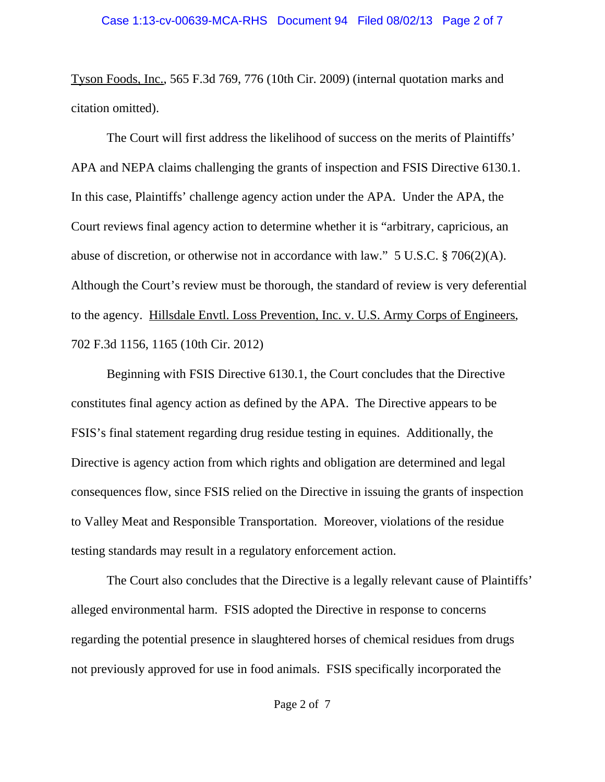Tyson Foods, Inc., 565 F.3d 769, 776 (10th Cir. 2009) (internal quotation marks and citation omitted).

The Court will first address the likelihood of success on the merits of Plaintiffs' APA and NEPA claims challenging the grants of inspection and FSIS Directive 6130.1. In this case, Plaintiffs' challenge agency action under the APA. Under the APA, the Court reviews final agency action to determine whether it is "arbitrary, capricious, an abuse of discretion, or otherwise not in accordance with law." 5 U.S.C. § 706(2)(A). Although the Court's review must be thorough, the standard of review is very deferential to the agency. Hillsdale Envtl. Loss Prevention, Inc. v. U.S. Army Corps of Engineers, 702 F.3d 1156, 1165 (10th Cir. 2012)

Beginning with FSIS Directive 6130.1, the Court concludes that the Directive constitutes final agency action as defined by the APA. The Directive appears to be FSIS's final statement regarding drug residue testing in equines. Additionally, the Directive is agency action from which rights and obligation are determined and legal consequences flow, since FSIS relied on the Directive in issuing the grants of inspection to Valley Meat and Responsible Transportation. Moreover, violations of the residue testing standards may result in a regulatory enforcement action.

The Court also concludes that the Directive is a legally relevant cause of Plaintiffs' alleged environmental harm. FSIS adopted the Directive in response to concerns regarding the potential presence in slaughtered horses of chemical residues from drugs not previously approved for use in food animals. FSIS specifically incorporated the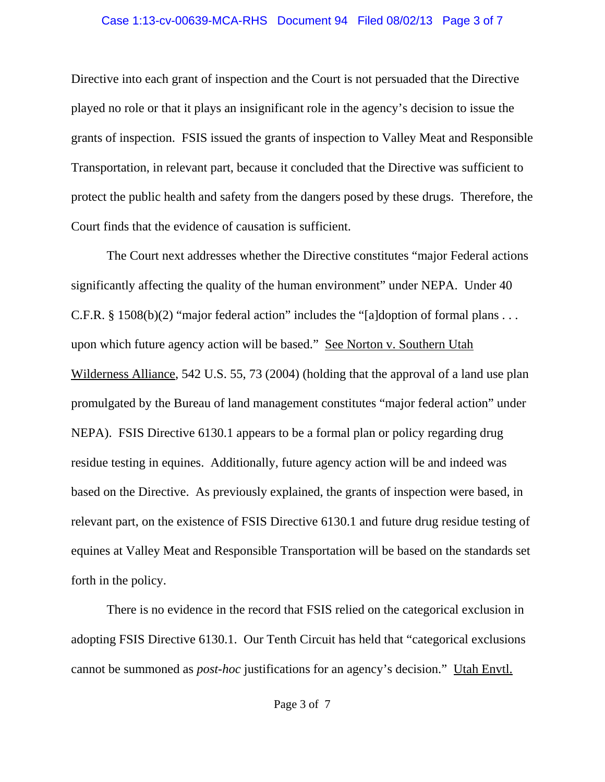### Case 1:13-cv-00639-MCA-RHS Document 94 Filed 08/02/13 Page 3 of 7

Directive into each grant of inspection and the Court is not persuaded that the Directive played no role or that it plays an insignificant role in the agency's decision to issue the grants of inspection. FSIS issued the grants of inspection to Valley Meat and Responsible Transportation, in relevant part, because it concluded that the Directive was sufficient to protect the public health and safety from the dangers posed by these drugs. Therefore, the Court finds that the evidence of causation is sufficient.

The Court next addresses whether the Directive constitutes "major Federal actions significantly affecting the quality of the human environment" under NEPA. Under 40 C.F.R. § 1508(b)(2) "major federal action" includes the "[a]doption of formal plans . . . upon which future agency action will be based." See Norton v. Southern Utah Wilderness Alliance, 542 U.S. 55, 73 (2004) (holding that the approval of a land use plan promulgated by the Bureau of land management constitutes "major federal action" under NEPA). FSIS Directive 6130.1 appears to be a formal plan or policy regarding drug residue testing in equines. Additionally, future agency action will be and indeed was based on the Directive. As previously explained, the grants of inspection were based, in relevant part, on the existence of FSIS Directive 6130.1 and future drug residue testing of equines at Valley Meat and Responsible Transportation will be based on the standards set forth in the policy.

There is no evidence in the record that FSIS relied on the categorical exclusion in adopting FSIS Directive 6130.1. Our Tenth Circuit has held that "categorical exclusions cannot be summoned as *post-hoc* justifications for an agency's decision." Utah Envtl.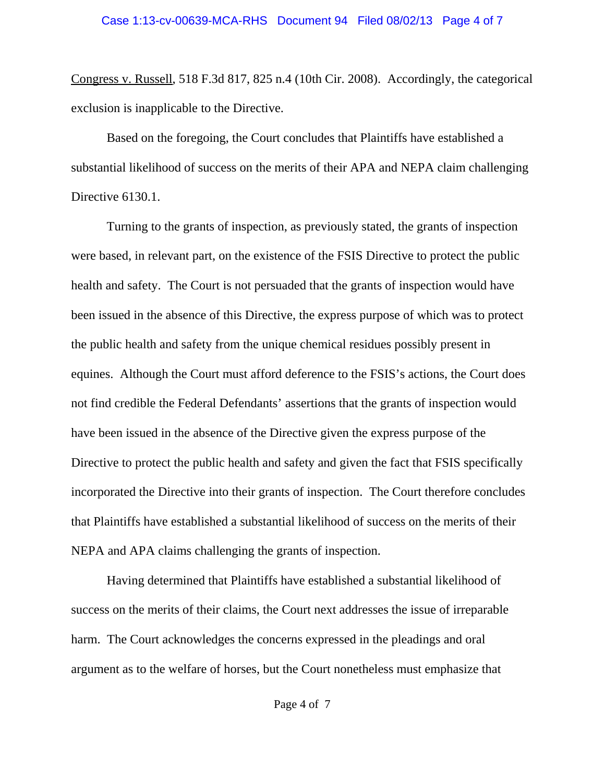Congress v. Russell, 518 F.3d 817, 825 n.4 (10th Cir. 2008). Accordingly, the categorical exclusion is inapplicable to the Directive.

Based on the foregoing, the Court concludes that Plaintiffs have established a substantial likelihood of success on the merits of their APA and NEPA claim challenging Directive 6130.1.

Turning to the grants of inspection, as previously stated, the grants of inspection were based, in relevant part, on the existence of the FSIS Directive to protect the public health and safety. The Court is not persuaded that the grants of inspection would have been issued in the absence of this Directive, the express purpose of which was to protect the public health and safety from the unique chemical residues possibly present in equines. Although the Court must afford deference to the FSIS's actions, the Court does not find credible the Federal Defendants' assertions that the grants of inspection would have been issued in the absence of the Directive given the express purpose of the Directive to protect the public health and safety and given the fact that FSIS specifically incorporated the Directive into their grants of inspection. The Court therefore concludes that Plaintiffs have established a substantial likelihood of success on the merits of their NEPA and APA claims challenging the grants of inspection.

Having determined that Plaintiffs have established a substantial likelihood of success on the merits of their claims, the Court next addresses the issue of irreparable harm. The Court acknowledges the concerns expressed in the pleadings and oral argument as to the welfare of horses, but the Court nonetheless must emphasize that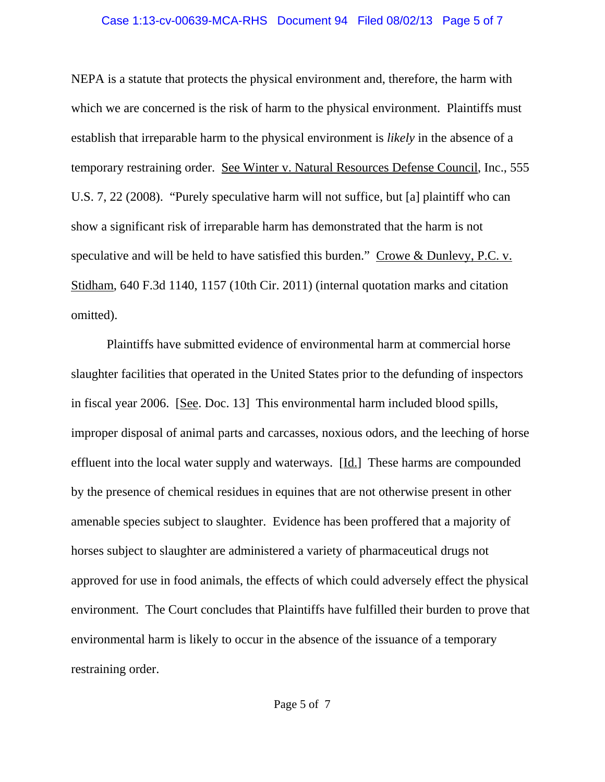### Case 1:13-cv-00639-MCA-RHS Document 94 Filed 08/02/13 Page 5 of 7

NEPA is a statute that protects the physical environment and, therefore, the harm with which we are concerned is the risk of harm to the physical environment. Plaintiffs must establish that irreparable harm to the physical environment is *likely* in the absence of a temporary restraining order. See Winter v. Natural Resources Defense Council, Inc., 555 U.S. 7, 22 (2008). "Purely speculative harm will not suffice, but [a] plaintiff who can show a significant risk of irreparable harm has demonstrated that the harm is not speculative and will be held to have satisfied this burden." Crowe & Dunlevy, P.C. v. Stidham, 640 F.3d 1140, 1157 (10th Cir. 2011) (internal quotation marks and citation omitted).

Plaintiffs have submitted evidence of environmental harm at commercial horse slaughter facilities that operated in the United States prior to the defunding of inspectors in fiscal year 2006. [See. Doc. 13] This environmental harm included blood spills, improper disposal of animal parts and carcasses, noxious odors, and the leeching of horse effluent into the local water supply and waterways. [Id.] These harms are compounded by the presence of chemical residues in equines that are not otherwise present in other amenable species subject to slaughter. Evidence has been proffered that a majority of horses subject to slaughter are administered a variety of pharmaceutical drugs not approved for use in food animals, the effects of which could adversely effect the physical environment. The Court concludes that Plaintiffs have fulfilled their burden to prove that environmental harm is likely to occur in the absence of the issuance of a temporary restraining order.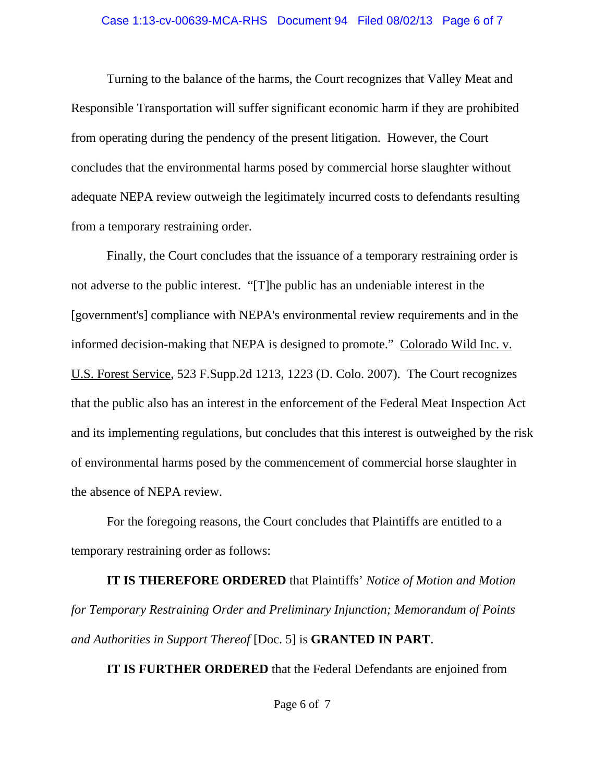#### Case 1:13-cv-00639-MCA-RHS Document 94 Filed 08/02/13 Page 6 of 7

Turning to the balance of the harms, the Court recognizes that Valley Meat and Responsible Transportation will suffer significant economic harm if they are prohibited from operating during the pendency of the present litigation. However, the Court concludes that the environmental harms posed by commercial horse slaughter without adequate NEPA review outweigh the legitimately incurred costs to defendants resulting from a temporary restraining order.

Finally, the Court concludes that the issuance of a temporary restraining order is not adverse to the public interest. "[T]he public has an undeniable interest in the [government's] compliance with NEPA's environmental review requirements and in the informed decision-making that NEPA is designed to promote." Colorado Wild Inc. v. U.S. Forest Service, 523 F.Supp.2d 1213, 1223 (D. Colo. 2007). The Court recognizes that the public also has an interest in the enforcement of the Federal Meat Inspection Act and its implementing regulations, but concludes that this interest is outweighed by the risk of environmental harms posed by the commencement of commercial horse slaughter in the absence of NEPA review.

For the foregoing reasons, the Court concludes that Plaintiffs are entitled to a temporary restraining order as follows:

**IT IS THEREFORE ORDERED** that Plaintiffs' *Notice of Motion and Motion for Temporary Restraining Order and Preliminary Injunction; Memorandum of Points and Authorities in Support Thereof* [Doc. 5] is **GRANTED IN PART**.

**IT IS FURTHER ORDERED** that the Federal Defendants are enjoined from